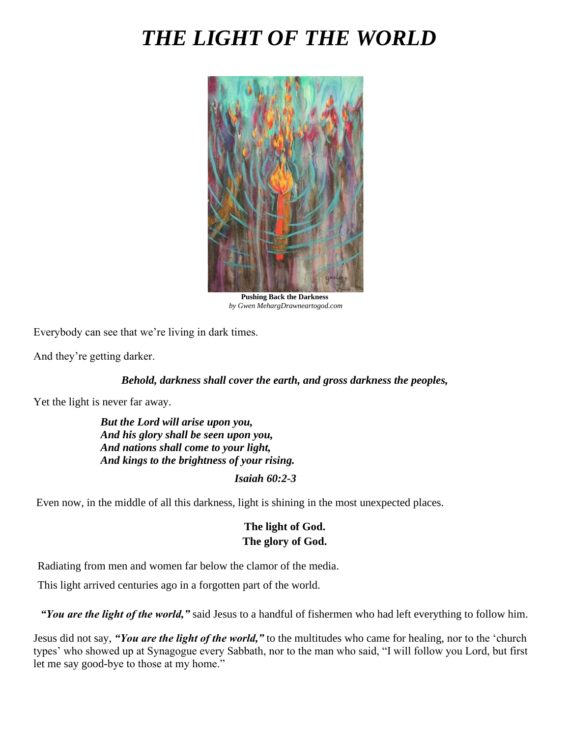# *THE LIGHT OF THE WORLD*



**Pushing Back the Darkness** *by Gwen MehargDrawneartogod.com*

Everybody can see that we're living in dark times.

And they're getting darker.

#### *Behold, darkness shall cover the earth, and gross darkness the peoples,*

Yet the light is never far away.

*But the Lord will arise upon you, And his glory shall be seen upon you, And nations shall come to your light, And kings to the brightness of your rising.*

#### *Isaiah 60:2-3*

Even now, in the middle of all this darkness, light is shining in the most unexpected places.

## **The light of God. The glory of God.**

Radiating from men and women far below the clamor of the media.

This light arrived centuries ago in a forgotten part of the world.

*"You are the light of the world,"* said Jesus to a handful of fishermen who had left everything to follow him.

Jesus did not say, *"You are the light of the world,"* to the multitudes who came for healing, nor to the 'church types' who showed up at Synagogue every Sabbath, nor to the man who said, "I will follow you Lord, but first let me say good-bye to those at my home."